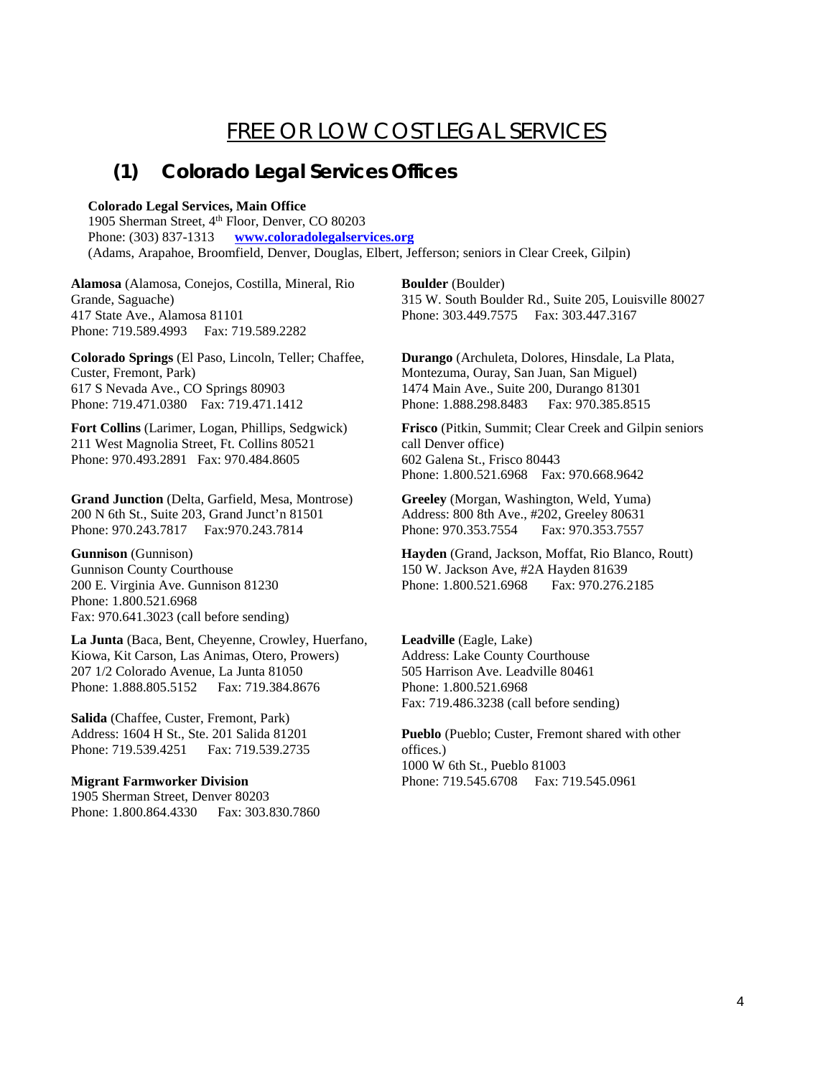# FREE OR LOW COST LEGAL SERVICES

### **(1) Colorado Legal Services Offices**

#### **Colorado Legal Services, Main Office**

1905 Sherman Street, 4<sup>th</sup> Floor, Denver, CO 80203 Phone: (303) 837-1313 **[www.coloradolegalservices.org](http://www.coloradolegalservices.org/)** (Adams, Arapahoe, Broomfield, Denver, Douglas, Elbert, Jefferson; seniors in Clear Creek, Gilpin)

**Alamosa** (Alamosa, Conejos, Costilla, Mineral, Rio Grande, Saguache) 417 State Ave., Alamosa 81101 Phone: 719.589.4993 Fax: 719.589.2282

**Colorado Springs** (El Paso, Lincoln, Teller; Chaffee, Custer, Fremont, Park) 617 S Nevada Ave., CO Springs 80903 Phone: 719.471.0380 Fax: 719.471.1412

**Fort Collins** (Larimer, Logan, Phillips, Sedgwick) 211 West Magnolia Street, Ft. Collins 80521 Phone: 970.493.2891 Fax: 970.484.8605

**Grand Junction** (Delta, Garfield, Mesa, Montrose) 200 N 6th St., Suite 203, Grand Junct'n 81501 Phone: 970.243.7817 Fax:970.243.7814

**Gunnison** (Gunnison) Gunnison County Courthouse 200 E. Virginia Ave. Gunnison 81230 Phone: 1.800.521.6968 Fax: 970.641.3023 (call before sending)

**La Junta** (Baca, Bent, Cheyenne, Crowley, Huerfano, Kiowa, Kit Carson, Las Animas, Otero, Prowers) 207 1/2 Colorado Avenue, La Junta 81050 Phone: 1.888.805.5152 Fax: 719.384.8676

**Salida** (Chaffee, Custer, Fremont, Park) Address: 1604 H St., Ste. 201 Salida 81201 Phone: 719.539.4251 Fax: 719.539.2735

#### **Migrant Farmworker Division**

1905 Sherman Street, Denver 80203 Phone: 1.800.864.4330 Fax: 303.830.7860 **Boulder** (Boulder) 315 W. South Boulder Rd., Suite 205, Louisville 80027 Phone: 303.449.7575 Fax: 303.447.3167

**Durango** (Archuleta, Dolores, Hinsdale, La Plata, Montezuma, Ouray, San Juan, San Miguel) 1474 Main Ave., Suite 200, Durango 81301 Phone: 1.888.298.8483 Fax: 970.385.8515

**Frisco** (Pitkin, Summit; Clear Creek and Gilpin seniors call Denver office) 602 Galena St., Frisco 80443 Phone: 1.800.521.6968 Fax: 970.668.9642

**Greeley** (Morgan, Washington, Weld, Yuma) Address: 800 8th Ave., #202, Greeley 80631 Phone: 970.353.7554 Fax: 970.353.7557

**Hayden** (Grand, Jackson, Moffat, Rio Blanco, Routt) 150 W. Jackson Ave, #2A Hayden 81639 Phone: 1.800.521.6968 Fax: 970.276.2185

**Leadville** (Eagle, Lake) Address: Lake County Courthouse 505 Harrison Ave. Leadville 80461 Phone: 1.800.521.6968 Fax: 719.486.3238 (call before sending)

**Pueblo** (Pueblo; Custer, Fremont shared with other offices.) 1000 W 6th St., Pueblo 81003 Phone: 719.545.6708 Fax: 719.545.0961